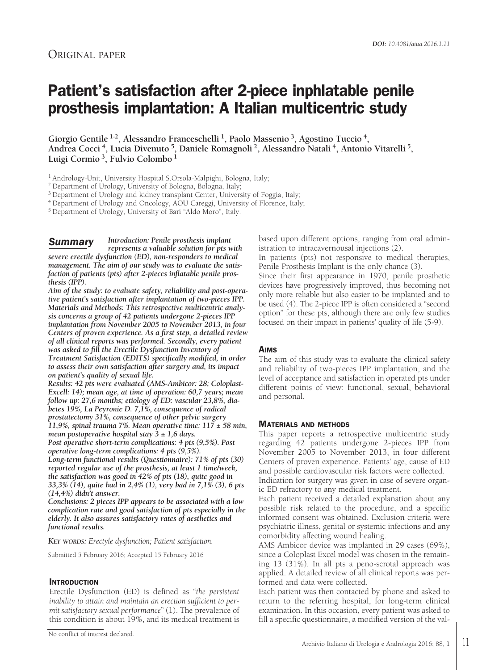## ORIGINAL PAPER

# **Patient's satisfaction after 2-piece inphlatable penile prosthesis implantation: A Italian multicentric study**

**Giorgio Gentile 1-2, Alessandro Franceschelli 1, Paolo Massenio 3, Agostino Tuccio 4, Andrea Cocci 4, Lucia Divenuto 5, Daniele Romagnoli 2, Alessandro Natali 4, Antonio Vitarelli 5, Luigi Cormio 3, Fulvio Colombo <sup>1</sup>**

<sup>1</sup> Andrology-Unit, University Hospital S.Orsola-Malpighi, Bologna, Italy;

<sup>2</sup> Department of Urology, University of Bologna, Bologna, Italy;

<sup>3</sup> Department of Urology and kidney transplant Center, University of Foggia, Italy;

<sup>4</sup> Department of Urology and Oncology, AOU Careggi, University of Florence, Italy;

<sup>5</sup> Department of Urology, University of Bari "Aldo Moro", Italy.

*Introduction: Penile prosthesis implant represents a valuable solution for pts with severe erectile dysfunction (ED), non-responders to medical management. The aim of our study was to evaluate the satisfaction of patients (pts) after 2-pieces inflatable penile prosthesis (IPP). Summary*

*Aim of the study: to evaluate safety, reliability and post-operative patient's satisfaction after implantation of two-pieces IPP. Materials and Methods: This retrospective multicentric analysis concerns a group of 42 patients undergone 2-pieces IPP implantation from November 2005 to November 2013, in four Centers of proven experience. As a first step, a detailed review of all clinical reports was performed. Secondly, every patient was asked to fill the Erectile Dysfunction Inventory of Treatment Satisfaction (EDITS) specifically modified, in order to assess their own satisfaction after surgery and, its impact on patient's quality of sexual life.*

*Results: 42 pts were evaluated (AMS-Ambicor: 28; Coloplast-Excell: 14); mean age, at time of operation: 60,7 years; mean follow up: 27,6 months; etiology of ED: vascular 23,8%, diabetes 19%, La Peyronie D. 7,1%, consequence of radical prostatectomy 31%, consequence of other pelvic surgery 11,9%, spinal trauma 7%. Mean operative time: 117 ± 58 min, mean postoperative hospital stay*  $\overline{3} \pm 1,6$  *days.* 

*Post operative short-term complications: 4 pts (9,5%). Post operative long-term complications: 4 pts (9,5%).*

*Long-term functional results (Questionnaire): 71% of pts (30) reported regular use of the prosthesis, at least 1 time/week, the satisfaction was good in 42% of pts (18), quite good in 33,3% (14), quite bad in 2,4% (1), very bad in 7,1% (3), 6 pts (14,4%) didn't answer.*

*Conclusions: 2 pieces IPP appears to be associated with a low complication rate and good satisfaction of pts especially in the elderly. It also assures satisfactory rates of aesthetics and functional results.*

*KEY WORDS: Erectyle dysfunction; Patient satisfaction.*

Submitted 5 February 2016; Accepted 15 February 2016

### **INTRODUCTION**

Erectile Dysfunction (ED) is defined as "*the persistent inability to attain and maintain an erection sufficient to permit satisfactory sexual performance*" (1). The prevalence of this condition is about 19%, and its medical treatment is based upon different options, ranging from oral administration to intracavernousal injections (2).

In patients (pts) not responsive to medical therapies, Penile Prosthesis Implant is the only chance (3).

Since their first appearance in 1970, penile prosthetic devices have progressively improved, thus becoming not only more reliable but also easier to be implanted and to be used (4). The 2-piece IPP is often considered a "second option" for these pts, although there are only few studies focused on their impact in patients' quality of life (5-9).

### **AIMS**

The aim of this study was to evaluate the clinical safety and reliability of two-pieces IPP implantation, and the level of acceptance and satisfaction in operated pts under different points of view: functional, sexual, behavioral and personal.

### **MATERIALS AND METHODS**

This paper reports a retrospective multicentric study regarding 42 patients undergone 2-pieces IPP from November 2005 to November 2013, in four different Centers of proven experience. Patients' age, cause of ED and possible cardiovascular risk factors were collected.

Indication for surgery was given in case of severe organic ED refractory to any medical treatment.

Each patient received a detailed explanation about any possible risk related to the procedure, and a specific informed consent was obtained. Exclusion criteria were psychiatric illness, genital or systemic infections and any comorbidity affecting wound healing.

AMS Ambicor device was implanted in 29 cases (69%), since a Coloplast Excel model was chosen in the remaining 13 (31%). In all pts a peno-scrotal approach was applied. A detailed review of all clinical reports was performed and data were collected.

Each patient was then contacted by phone and asked to return to the referring hospital, for long-term clinical examination. In this occasion, every patient was asked to fill a specific questionnaire, a modified version of the val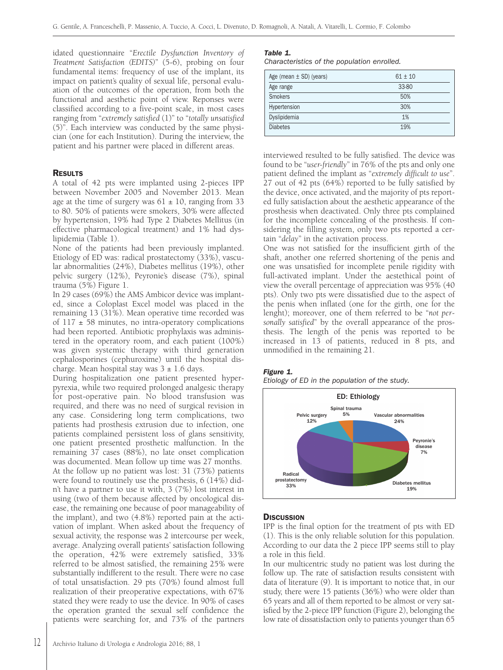idated questionnaire "*Erectile Dysfunction Inventory of Treatment Satisfaction (EDITS)*" (5-6), probing on four fundamental items: frequency of use of the implant, its impact on patient's quality of sexual life, personal evaluation of the outcomes of the operation, from both the functional and aesthetic point of view. Reponses were classified according to a five-point scale, in most cases ranging from "*extremely satisfied* (1)" to "*totally unsatisfied* (5)". Each interview was conducted by the same physician (one for each Institution). During the interview, the patient and his partner were placed in different areas.

#### **RESULTS**

A total of 42 pts were implanted using 2-pieces IPP between November 2005 and November 2013. Mean age at the time of surgery was  $61 \pm 10$ , ranging from 33 to 80. 50% of patients were smokers, 30% were affected by hypertension, 19% had Type 2 Diabetes Mellitus (in effective pharmacological treatment) and 1% had dyslipidemia (Table 1).

None of the patients had been previously implanted. Etiology of ED was: radical prostatectomy (33%), vascular abnormalities (24%), Diabetes mellitus (19%), other pelvic surgery (12%), Peyronie's disease (7%), spinal trauma (5%) Figure 1.

In 29 cases (69%) the AMS Ambicor device was implanted, since a Coloplast Excel model was placed in the remaining 13 (31%). Mean operative time recorded was of  $117 \pm 58$  minutes, no intra-operatory complications had been reported. Antibiotic prophylaxis was administered in the operatory room, and each patient (100%) was given systemic therapy with third generation cephalosporines (cephuroxime) until the hospital discharge. Mean hospital stay was  $3 \pm 1.6$  days.

During hospitalization one patient presented hyperpyrexia, while two required prolonged analgesic therapy for post-operative pain. No blood transfusion was required, and there was no need of surgical revision in any case. Considering long term complications, two patients had prosthesis extrusion due to infection, one patients complained persistent loss of glans sensitivity, one patient presented prosthetic malfunction. In the remaining 37 cases (88%), no late onset complication was documented. Mean follow up time was 27 months. At the follow up no patient was lost: 31 (73%) patients were found to routinely use the prosthesis, 6 (14%) didn't have a partner to use it with, 3 (7%) lost interest in using (two of them because affected by oncological disease, the remaining one because of poor manageability of the implant), and two (4.8%) reported pain at the activation of implant. When asked about the frequency of sexual activity, the response was 2 intercourse per week, average. Analyzing overall patients' satisfaction following the operation, 42% were extremely satisfied, 33% referred to be almost satisfied, the remaining 25% were substantially indifferent to the result. There were no case of total unsatisfaction. 29 pts (70%) found almost full realization of their preoperative expectations, with 67% stated they were ready to use the device. In 90% of cases the operation granted the sexual self confidence the patients were searching for, and 73% of the partners

#### *Table 1.*

*Characteristics of the population enrolled.*

| Age (mean $\pm$ SD) (years) | $61 \pm 10$ |
|-----------------------------|-------------|
| Age range                   | 33-80       |
| <b>Smokers</b>              | 50%         |
| Hypertension                | 30%         |
| Dyslipidemia                | 1%          |
| <b>Diabetes</b>             | 19%         |

interviewed resulted to be fully satisfied. The device was found to be "*user-friendly*" in 76% of the pts and only one patient defined the implant as "*extremely difficult to use*". 27 out of 42 pts (64%) reported to be fully satisfied by the device, once activated, and the majority of pts reported fully satisfaction about the aesthetic appearance of the prosthesis when deactivated. Only three pts complained for the incomplete concealing of the prosthesis. If considering the filling system, only two pts reported a certain "*delay*" in the activation process.

One was not satisfied for the insufficient girth of the shaft, another one referred shortening of the penis and one was unsatisfied for incomplete penile rigidity with full-activated implant. Under the aestethical point of view the overall percentage of appreciation was 95% (40 pts). Only two pts were dissatisfied due to the aspect of the penis when inflated (one for the girth, one for the lenght); moreover, one of them referred to be "*not personally satisfied*" by the overall appearance of the prosthesis. The length of the penis was reported to be increased in 13 of patients, reduced in 8 pts, and unmodified in the remaining 21.

#### *Figure 1.*





#### **DISCUSSION**

IPP is the final option for the treatment of pts with ED (1). This is the only reliable solution for this population. According to our data the 2 piece IPP seems still to play a role in this field.

In our multicentric study no patient was lost during the follow up. The rate of satisfaction results consistent with data of literature (9). It is important to notice that, in our study, there were 15 patients (36%) who were older than 65 years and all of them reported to be almost or very satisfied by the 2-piece IPP function (Figure 2), belonging the low rate of dissatisfaction only to patients younger than 65